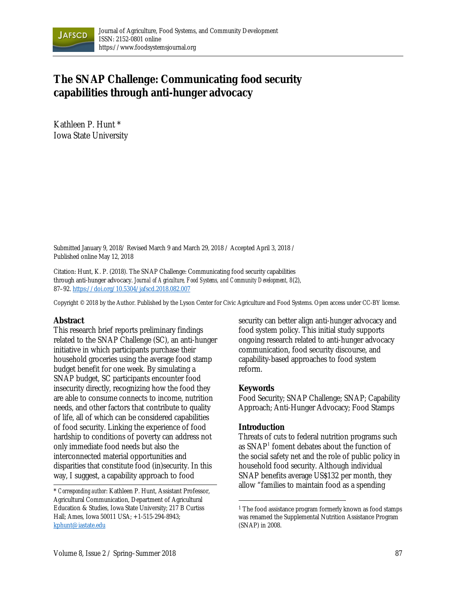

# **The SNAP Challenge: Communicating food security capabilities through anti-hunger advocacy**

Kathleen P. Hunt \* Iowa State University

Submitted January 9, 2018/ Revised March 9 and March 29, 2018 / Accepted April 3, 2018 / Published online May 12, 2018

Citation: Hunt, K. P. (2018). The SNAP Challenge: Communicating food security capabilities through anti-hunger advocacy. *Journal of Agriculture, Food Systems, and Community Development, 8*(2), 87–92. https://doi.org/10.5304/jafscd.2018.082.007

Copyright © 2018 by the Author. Published by the Lyson Center for Civic Agriculture and Food Systems. Open access under CC-BY license.

#### **Abstract**

This research brief reports preliminary findings related to the SNAP Challenge (SC), an anti-hunger initiative in which participants purchase their household groceries using the average food stamp budget benefit for one week. By simulating a SNAP budget, SC participants encounter food insecurity directly, recognizing how the food they are able to consume connects to income, nutrition needs, and other factors that contribute to quality of life, all of which can be considered capabilities of food security. Linking the experience of food hardship to conditions of poverty can address not only immediate food needs but also the interconnected material opportunities and disparities that constitute food (in)security. In this way, I suggest, a capability approach to food

security can better align anti-hunger advocacy and food system policy. This initial study supports ongoing research related to anti-hunger advocacy communication, food security discourse, and capability-based approaches to food system reform.

#### **Keywords**

Food Security; SNAP Challenge; SNAP; Capability Approach; Anti-Hunger Advocacy; Food Stamps

#### **Introduction**

 $\overline{a}$ 

Threats of cuts to federal nutrition programs such as SNAP<sup>1</sup> foment debates about the function of the social safety net and the role of public policy in household food security. Although individual SNAP benefits average US\$132 per month, they allow "families to maintain food as a spending

<sup>\*</sup> *Corresponding author*: Kathleen P. Hunt, Assistant Professor, Agricultural Communication, Department of Agricultural Education & Studies, Iowa State University; 217 B Curtiss Hall; Ames, Iowa 50011 USA; +1-515-294-8943; kphunt@iastate.edu

<sup>&</sup>lt;sup>1</sup> The food assistance program formerly known as food stamps was renamed the Supplemental Nutrition Assistance Program (SNAP) in 2008.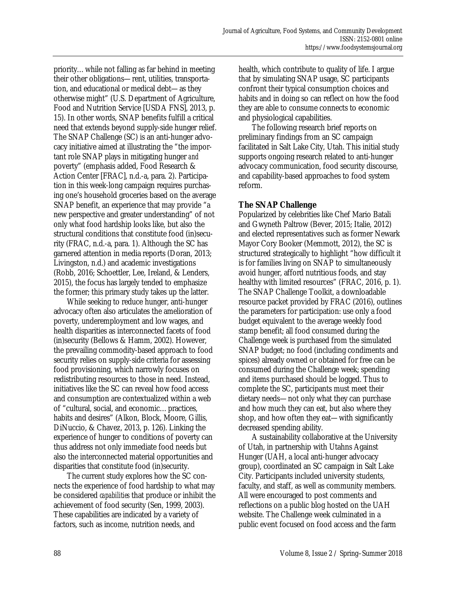priority…while not falling as far behind in meeting their other obligations—rent, utilities, transportation, and educational or medical debt—as they otherwise might" (U.S. Department of Agriculture, Food and Nutrition Service [USDA FNS], 2013, p. 15). In other words, SNAP benefits fulfill a critical need that extends beyond supply-side hunger relief. The SNAP Challenge (SC) is an anti-hunger advocacy initiative aimed at illustrating the "the important role SNAP plays in mitigating hunger *and* poverty" (emphasis added, Food Research & Action Center [FRAC], n.d.-a, para. 2). Participation in this week-long campaign requires purchasing one's household groceries based on the average SNAP benefit, an experience that may provide "a new perspective and greater understanding" of not only what food hardship looks like, but also the structural conditions that constitute food (in)security (FRAC, n.d.-a, para. 1). Although the SC has garnered attention in media reports (Doran, 2013; Livingston, n.d.) and academic investigations (Robb, 2016; Schoettler, Lee, Ireland, & Lenders, 2015), the focus has largely tended to emphasize the former; this primary study takes up the latter.

 While seeking to reduce hunger, anti-hunger advocacy often also articulates the amelioration of poverty, underemployment and low wages, and health disparities as interconnected facets of food (in)security (Bellows & Hamm, 2002). However, the prevailing commodity-based approach to food security relies on supply-side criteria for assessing food provisioning, which narrowly focuses on redistributing resources to those in need. Instead, initiatives like the SC can reveal how food access and consumption are contextualized within a web of "cultural, social, and economic…practices, habits and desires" (Alkon, Block, Moore, Gillis, DiNuccio, & Chavez, 2013, p. 126). Linking the experience of hunger to conditions of poverty can thus address not only immediate food needs but also the interconnected material opportunities and disparities that constitute food (in)security.

 The current study explores how the SC connects the experience of food hardship to what may be considered *capabilities* that produce or inhibit the achievement of food security (Sen, 1999, 2003). These capabilities are indicated by a variety of factors, such as income, nutrition needs, and

health, which contribute to quality of life. I argue that by simulating SNAP usage, SC participants confront their typical consumption choices and habits and in doing so can reflect on how the food they are able to consume connects to economic and physiological capabilities.

 The following research brief reports on preliminary findings from an SC campaign facilitated in Salt Lake City, Utah. This initial study supports ongoing research related to anti-hunger advocacy communication, food security discourse, and capability-based approaches to food system reform.

#### **The SNAP Challenge**

Popularized by celebrities like Chef Mario Batali and Gwyneth Paltrow (Bever, 2015; Italie, 2012) and elected representatives such as former Newark Mayor Cory Booker (Memmott, 2012), the SC is structured strategically to highlight "how difficult it is for families living on SNAP to simultaneously avoid hunger, afford nutritious foods, and stay healthy with limited resources" (FRAC, 2016, p. 1). The SNAP Challenge Toolkit, a downloadable resource packet provided by FRAC (2016), outlines the parameters for participation: use only a food budget equivalent to the average weekly food stamp benefit; all food consumed during the Challenge week is purchased from the simulated SNAP budget; no food (including condiments and spices) already owned or obtained for free can be consumed during the Challenge week; spending and items purchased should be logged. Thus to complete the SC, participants must meet their dietary needs—not only what they can purchase and how much they can eat, but also where they shop, and how often they eat—with significantly decreased spending ability.

 A sustainability collaborative at the University of Utah, in partnership with Utahns Against Hunger (UAH, a local anti-hunger advocacy group), coordinated an SC campaign in Salt Lake City. Participants included university students, faculty, and staff, as well as community members. All were encouraged to post comments and reflections on a public blog hosted on the UAH website. The Challenge week culminated in a public event focused on food access and the farm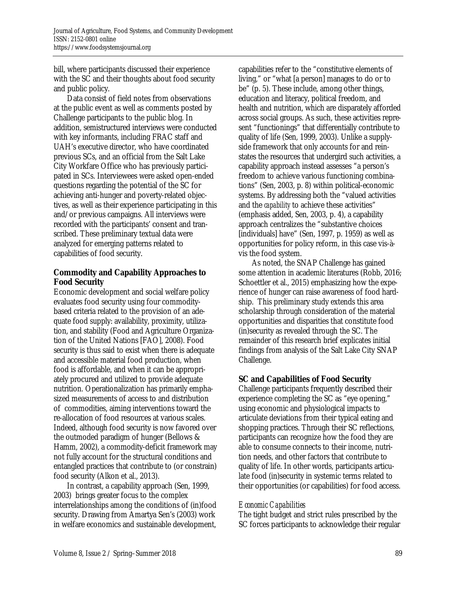bill, where participants discussed their experience with the SC and their thoughts about food security and public policy.

 Data consist of field notes from observations at the public event as well as comments posted by Challenge participants to the public blog. In addition, semistructured interviews were conducted with key informants, including FRAC staff and UAH's executive director, who have coordinated previous SCs, and an official from the Salt Lake City Workfare Office who has previously participated in SCs. Interviewees were asked open-ended questions regarding the potential of the SC for achieving anti-hunger and poverty-related objectives, as well as their experience participating in this and/or previous campaigns. All interviews were recorded with the participants' consent and transcribed. These preliminary textual data were analyzed for emerging patterns related to capabilities of food security.

## **Commodity and Capability Approaches to Food Security**

Economic development and social welfare policy evaluates food security using four commoditybased criteria related to the provision of an adequate food supply: availability, proximity, utilization, and stability (Food and Agriculture Organization of the United Nations [FAO], 2008). Food security is thus said to exist when there is adequate and accessible material food production, when food is affordable, and when it can be appropriately procured and utilized to provide adequate nutrition. Operationalization has primarily emphasized measurements of access to and distribution of commodities, aiming interventions toward the re-allocation of food resources at various scales. Indeed, although food security is now favored over the outmoded paradigm of hunger (Bellows & Hamm, 2002), a commodity-deficit framework may not fully account for the structural conditions and entangled practices that contribute to (or constrain) food security (Alkon et al., 2013).

 In contrast, a capability approach (Sen, 1999, 2003) brings greater focus to the complex interrelationships among the conditions of (in)food security. Drawing from Amartya Sen's (2003) work in welfare economics and sustainable development, capabilities refer to the "constitutive elements of living," or "what [a person] manages to do or to be" (p. 5). These include, among other things, education and literacy, political freedom, and health and nutrition, which are disparately afforded across social groups. As such, these activities represent "functionings" that differentially contribute to quality of life (Sen, 1999, 2003). Unlike a supplyside framework that only accounts for and reinstates the resources that undergird such activities, a capability approach instead assesses "a person's freedom to achieve various functioning combinations" (Sen, 2003, p. 8) within political-economic systems. By addressing both the "valued activities and the *capability* to achieve these activities" (emphasis added, Sen, 2003, p. 4), a capability approach centralizes the "substantive choices [individuals] have" (Sen, 1997, p. 1959) as well as opportunities for policy reform, in this case vis-àvis the food system.

 As noted, the SNAP Challenge has gained some attention in academic literatures (Robb, 2016; Schoettler et al., 2015) emphasizing how the experience of hunger can raise awareness of food hardship. This preliminary study extends this area scholarship through consideration of the material opportunities and disparities that constitute food (in)security as revealed through the SC. The remainder of this research brief explicates initial findings from analysis of the Salt Lake City SNAP Challenge.

## **SC and Capabilities of Food Security**

Challenge participants frequently described their experience completing the SC as "eye opening," using economic and physiological impacts to articulate deviations from their typical eating and shopping practices. Through their SC reflections, participants can recognize how the food they are able to consume connects to their income, nutrition needs, and other factors that contribute to quality of life. In other words, participants articulate food (in)security in systemic terms related to their opportunities (or capabilities) for food access.

#### *Economic Capabilities*

The tight budget and strict rules prescribed by the SC forces participants to acknowledge their regular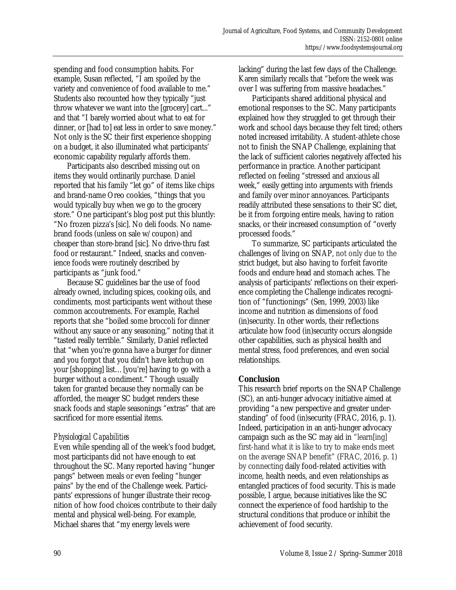spending and food consumption habits. For example, Susan reflected, "I am spoiled by the variety and convenience of food available to me." Students also recounted how they typically "just throw whatever we want into the [grocery] cart..." and that "I barely worried about what to eat for dinner, or [had to] eat less in order to save money." Not only is the SC their first experience shopping on a budget, it also illuminated what participants' economic capability regularly affords them.

 Participants also described missing out on items they would ordinarily purchase. Daniel reported that his family "let go" of items like chips and brand-name Oreo cookies, "things that you would typically buy when we go to the grocery store." One participant's blog post put this bluntly: "No frozen pizza's [sic]. No deli foods. No namebrand foods (unless on sale w/coupon) and cheaper than store-brand [sic]. No drive-thru fast food or restaurant." Indeed, snacks and convenience foods were routinely described by participants as "junk food."

 Because SC guidelines bar the use of food already owned, including spices, cooking oils, and condiments, most participants went without these common accoutrements. For example, Rachel reports that she "boiled some broccoli for dinner without any sauce or any seasoning," noting that it "tasted really terrible." Similarly, Daniel reflected that "when you're gonna have a burger for dinner and you forgot that you didn't have ketchup on your [shopping] list…[you're] having to go with a burger without a condiment." Though usually taken for granted because they normally can be afforded, the meager SC budget renders these snack foods and staple seasonings "extras" that are sacrificed for more essential items.

## *Physiological Capabilities*

Even while spending all of the week's food budget, most participants did not have enough to eat throughout the SC. Many reported having "hunger pangs" between meals or even feeling "hunger pains" by the end of the Challenge week. Participants' expressions of hunger illustrate their recognition of how food choices contribute to their daily mental and physical well-being. For example, Michael shares that "my energy levels were

lacking" during the last few days of the Challenge. Karen similarly recalls that "before the week was over I was suffering from massive headaches."

 Participants shared additional physical and emotional responses to the SC. Many participants explained how they struggled to get through their work and school days because they felt tired; others noted increased irritability. A student-athlete chose not to finish the SNAP Challenge, explaining that the lack of sufficient calories negatively affected his performance in practice. Another participant reflected on feeling "stressed and anxious all week," easily getting into arguments with friends and family over minor annoyances. Participants readily attributed these sensations to their SC diet, be it from forgoing entire meals, having to ration snacks, or their increased consumption of "overly processed foods."

 To summarize, SC participants articulated the challenges of living on SNAP, not only due to the strict budget, but also having to forfeit favorite foods and endure head and stomach aches. The analysis of participants' reflections on their experience completing the Challenge indicates recognition of "functionings" (Sen, 1999, 2003) like income and nutrition as dimensions of food (in)security. In other words, their reflections articulate how food (in)security occurs alongside other capabilities, such as physical health and mental stress, food preferences, and even social relationships.

## **Conclusion**

This research brief reports on the SNAP Challenge (SC), an anti-hunger advocacy initiative aimed at providing "a new perspective and greater understanding" of food (in)security (FRAC, 2016, p. 1). Indeed, participation in an anti-hunger advocacy campaign such as the SC may aid in "learn[ing] first-hand what it is like to try to make ends meet on the average SNAP benefit" (FRAC, 2016, p. 1) by connecting daily food-related activities with income, health needs, and even relationships as entangled practices of food security. This is made possible, I argue, because initiatives like the SC connect the experience of food hardship to the structural conditions that produce or inhibit the achievement of food security.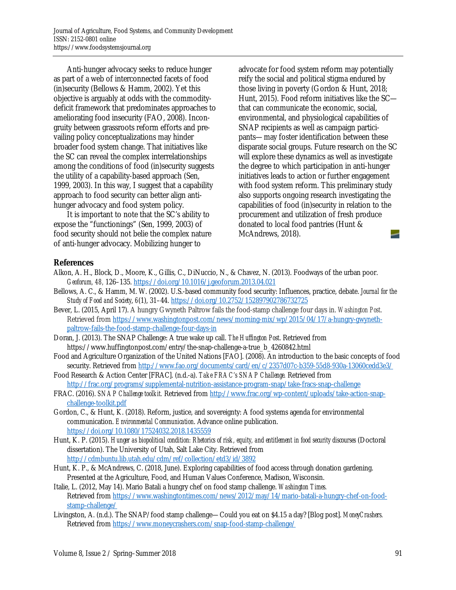Anti-hunger advocacy seeks to reduce hunger as part of a web of interconnected facets of food (in)security (Bellows & Hamm, 2002). Yet this objective is arguably at odds with the commoditydeficit framework that predominates approaches to ameliorating food insecurity (FAO, 2008). Incongruity between grassroots reform efforts and prevailing policy conceptualizations may hinder broader food system change. That initiatives like the SC can reveal the complex interrelationships among the conditions of food (in)security suggests the utility of a capability-based approach (Sen, 1999, 2003). In this way, I suggest that a capability approach to food security can better align antihunger advocacy and food system policy.

 It is important to note that the SC's ability to expose the "functionings" (Sen, 1999, 2003) of food security should not belie the complex nature of anti-hunger advocacy. Mobilizing hunger to

advocate for food system reform may potentially reify the social and political stigma endured by those living in poverty (Gordon & Hunt, 2018; Hunt, 2015). Food reform initiatives like the SC that can communicate the economic, social, environmental, and physiological capabilities of SNAP recipients as well as campaign participants—may foster identification between these disparate social groups. Future research on the SC will explore these dynamics as well as investigate the degree to which participation in anti-hunger initiatives leads to action or further engagement with food system reform. This preliminary study also supports ongoing research investigating the capabilities of food (in)security in relation to the procurement and utilization of fresh produce donated to local food pantries (Hunt & McAndrews, 2018). -

### **References**

- Alkon, A. H., Block, D., Moore, K., Gillis, C., DiNuccio, N., & Chavez, N. (2013). Foodways of the urban poor. *Geoforum, 48,* 126–135. https://doi.org/10.1016/j.geoforum.2013.04.021
- Bellows, A. C., & Hamm, M. W. (2002). U.S.-based community food security: Influences, practice, debate. *Journal for the Study of Food and Society*, *6*(1), 31–44. https://doi.org/10.2752/152897902786732725
- Bever, L. (2015, April 17). A hungry Gwyneth Paltrow fails the food-stamp challenge four days in. *Washington Post*. Retrieved from https://www.washingtonpost.com/news/morning-mix/wp/2015/04/17/a-hungry-gwynethpaltrow-fails-the-food-stamp-challenge-four-days-in
- Doran, J. (2013). The SNAP Challenge: A true wake up call. *The Huffington Post*. Retrieved from https://www.huffingtonpost.com/entry/the-snap-challenge-a-true\_b\_4260842.html
- Food and Agriculture Organization of the United Nations [FAO]. (2008). An introduction to the basic concepts of food security. Retrieved from http://www.fao.org/documents/card/en/c/2357d07c-b359-55d8-930a-13060cedd3e3/
- Food Research & Action Center [FRAC]. (n.d.-a). *Take FRAC's SNAP Challenge.* Retrieved from http://frac.org/programs/supplemental-nutrition-assistance-program-snap/take-fracs-snap-challenge
- FRAC. (2016). *SNAP Challenge toolkit.* Retrieved from http://www.frac.org/wp-content/uploads/take-action-snapchallenge-toolkit.pdf
- Gordon, C., & Hunt, K. (2018). Reform, justice, and sovereignty: A food systems agenda for environmental communication. *Environmental Communication*. Advance online publication. https://doi.org/10.1080/17524032.2018.1435559
- Hunt, K. P. (2015). *Hunger as biopolitical condition: Rhetorics of risk, equity, and entitlement in food security discourses* (Doctoral dissertation). The University of Utah, Salt Lake City. Retrieved from http://cdmbuntu.lib.utah.edu/cdm/ref/collection/etd3/id/3892
- Hunt, K. P., & McAndrews, C. (2018, June). Exploring capabilities of food access through donation gardening. Presented at the Agriculture, Food, and Human Values Conference, Madison, Wisconsin.
- Italie, L. (2012, May 14). Mario Batali a hungry chef on food stamp challenge. *Washington Times.*  Retrieved from https://www.washingtontimes.com/news/2012/may/14/mario-batali-a-hungry-chef-on-foodstamp-challenge/
- Livingston, A. (n.d.). The SNAP/food stamp challenge—Could you eat on \$4.15 a day? [Blog post]. *MoneyCrashers.*  Retrieved from https://www.moneycrashers.com/snap-food-stamp-challenge/